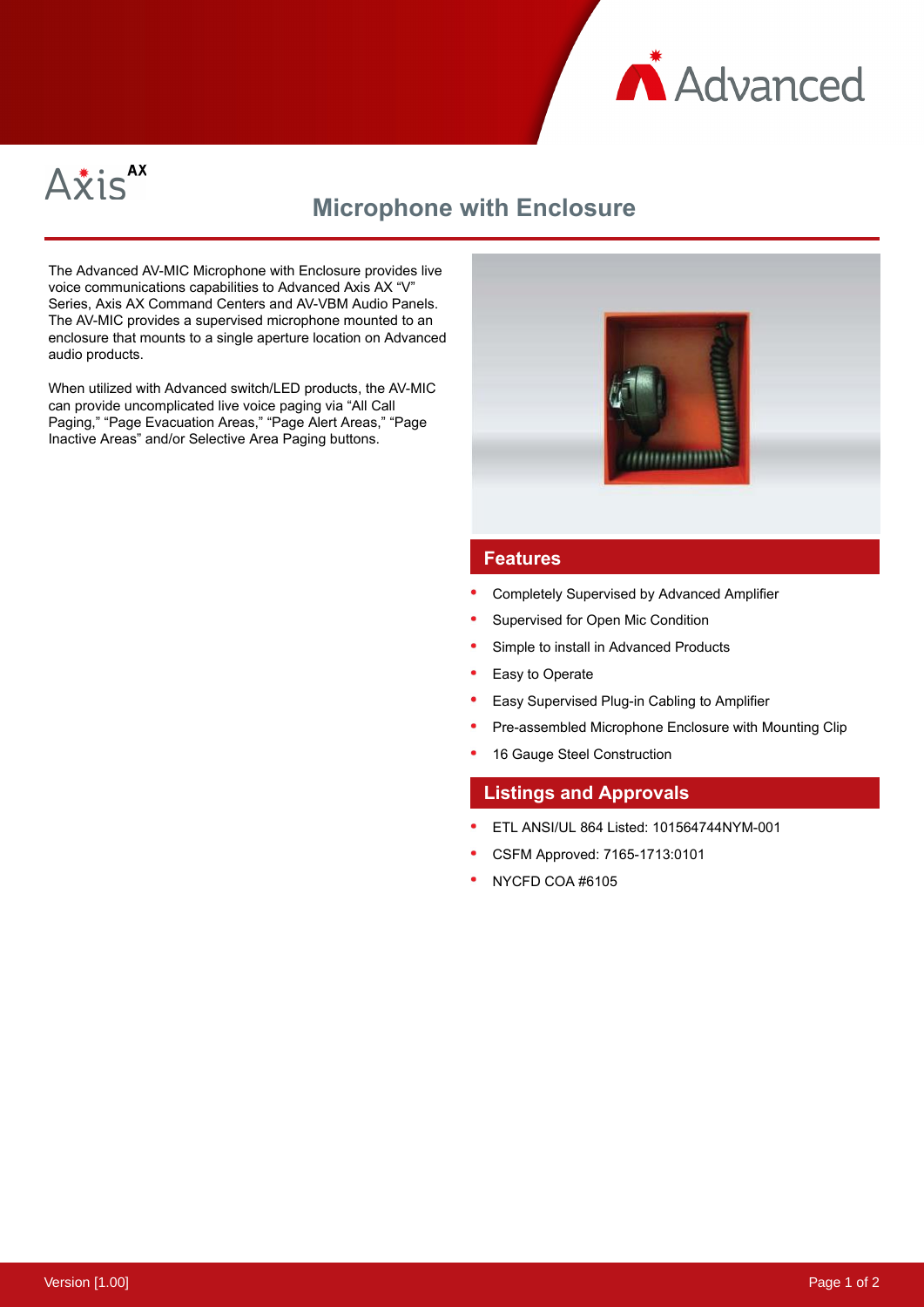



# **Microphone with Enclosure**

The Advanced AV-MIC Microphone with Enclosure provides live voice communications capabilities to Advanced Axis AX "V" Series, Axis AX Command Centers and AV-VBM Audio Panels. The AV-MIC provides a supervised microphone mounted to an enclosure that mounts to a single aperture location on Advanced audio products.

When utilized with Advanced switch/LED products, the AV-MIC can provide uncomplicated live voice paging via "All Call Paging," "Page Evacuation Areas," "Page Alert Areas," "Page Inactive Areas" and/or Selective Area Paging buttons.



### **Features**

- Completely Supervised by Advanced Amplifier
- Supervised for Open Mic Condition
- Simple to install in Advanced Products
- Easy to Operate
- Easy Supervised Plug-in Cabling to Amplifier
- Pre-assembled Microphone Enclosure with Mounting Clip
- 16 Gauge Steel Construction

#### **Listings and Approvals**

- ETL ANSI/UL 864 Listed: 101564744NYM-001
- CSFM Approved: 7165-1713:0101
- NYCFD COA #6105